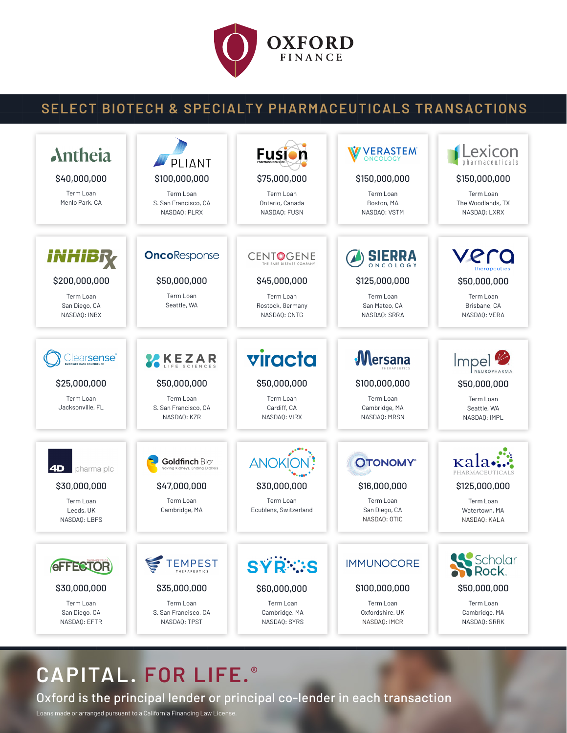

## **SELECT BIOTECH & SPECIALTY PHARMACEUTICALS TRANSACTIONS**



## **CAPITAL. FOR LIFE. ®**

Oxford is the principal lender or principal co-lender in each transaction

Loans made or arranged pursuant to a California Financing Law License.